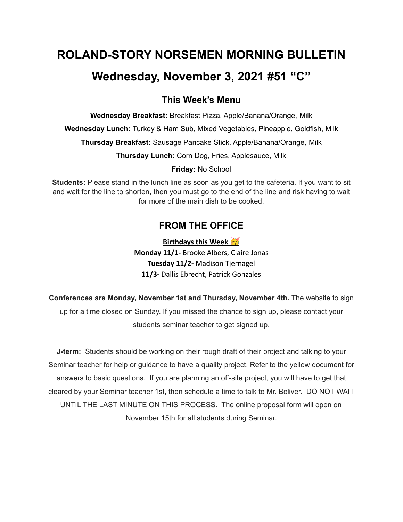## **ROLAND-STORY NORSEMEN MORNING BULLETIN**

## **Wednesday, November 3, 2021 #51 "C"**

### **This Week's Menu**

**Wednesday Breakfast:** Breakfast Pizza, Apple/Banana/Orange, Milk

**Wednesday Lunch:** Turkey & Ham Sub, Mixed Vegetables, Pineapple, Goldfish, Milk

**Thursday Breakfast:** Sausage Pancake Stick, Apple/Banana/Orange, Milk

**Thursday Lunch:** Corn Dog, Fries, Applesauce, Milk

**Friday:** No School

**Students:** Please stand in the lunch line as soon as you get to the cafeteria. If you want to sit and wait for the line to shorten, then you must go to the end of the line and risk having to wait for more of the main dish to be cooked.

### **FROM THE OFFICE**

**Birthdays this Week Monday 11/1-** Brooke Albers, Claire Jonas **Tuesday 11/2-** Madison Tjernagel **11/3-** Dallis Ebrecht, Patrick Gonzales

**Conferences are Monday, November 1st and Thursday, November 4th.** The website to sign up for a time closed on Sunday. If you missed the chance to sign up, please contact your students seminar teacher to get signed up.

**J-term:** Students should be working on their rough draft of their project and talking to your Seminar teacher for help or guidance to have a quality project. Refer to the yellow document for answers to basic questions. If you are planning an off-site project, you will have to get that cleared by your Seminar teacher 1st, then schedule a time to talk to Mr. Boliver. DO NOT WAIT UNTIL THE LAST MINUTE ON THIS PROCESS. The online proposal form will open on November 15th for all students during Seminar.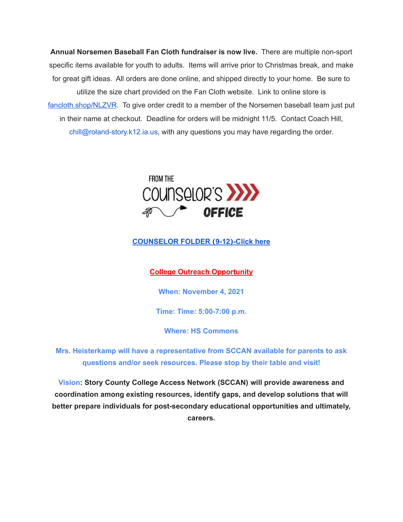**Annual Norsemen Baseball Fan Cloth fundraiser is now live.** There are multiple non-sport specific items available for youth to adults. Items will arrive prior to Christmas break, and make for great gift ideas. All orders are done online, and shipped directly to your home. Be sure to utilize the size chart provided on the Fan Cloth website. Link to online store is [fancloth.shop/NLZVR](http://fancloth.shop/NLZVR). To give order credit to a member of the Norsemen baseball team just put in their name at checkout. Deadline for orders will be midnight 11/5. Contact Coach Hill, chill@roland-story.k12.ia.us, with any questions you may have regarding the order.



#### **[COUNSELOR](https://docs.google.com/document/d/1vmwczNPbDzXe9vFaG5LJMQ7NYDv-i4oQJHybqA65TUc/edit?usp=sharing) FOLDER (9-12)-Click here**

#### **College Outreach Opportunity**

**When: November 4, 2021**

**Time: Time: 5:00-7:00 p.m.**

**Where: HS Commons**

**Mrs. Heisterkamp will have a representative from SCCAN available for parents to ask questions and/or seek resources. Please stop by their table and visit!**

**Vision: Story County College Access Network (SCCAN) will provide awareness and coordination among existing resources, identify gaps, and develop solutions that will better prepare individuals for post-secondary educational opportunities and ultimately, careers.**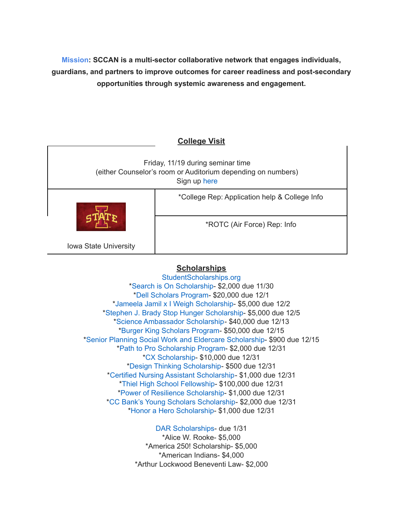**Mission: SCCAN is a multi-sector collaborative network that engages individuals, guardians, and partners to improve outcomes for career readiness and post-secondary opportunities through systemic awareness and engagement.**

# **College Visit** Friday, 11/19 during seminar time (either Counselor's room or Auditorium depending on numbers) Sign up [here](https://forms.gle/juaxEHRunRisJU777) Iowa State University \*College Rep: Application help & College Info \*ROTC (Air Force) Rep: Info

#### **Scholarships**

[StudentScholarships.org](https://drive.google.com/file/d/1vNlRtrk0wQiX1jPIPjpUVHhi5zFlcRvw/view?usp=sharing) \*Search is On [Scholarship](https://studentscholarships.org/scholarship/19120/search_is_on_scholarship_scholarship.php)- \$2,000 due 11/30 \*Dell [Scholars](https://studentscholarships.org/scholarship/9745/dell_scholars_program_scholarship.php) Program- \$20,000 due 12/1 \*Jameela Jamil x I Weigh [Scholarship-](https://studentscholarships.org/scholarship/19302/jameela_jamil_x_i_weigh_scholarship_scholarship.php) \$5,000 due 12/2 \*Stephen J. Brady Stop Hunger [Scholarship-](https://studentscholarships.org/scholarship/8850/stephen_j_brady_stop_hunger_scholarships_scholarship.php) \$5,000 due 12/5 \*Science [Ambassador](https://studentscholarships.org/scholarship/14669/science_ambassador_scholarship_scholarship.php) Scholarship- \$40,000 due 12/13 \*Burger King [Scholars](https://studentscholarships.org/scholarship/10533/burger_king_scholars_program_scholarship.php) Program- \$50,000 due 12/15 \*Senior Planning Social Work and Eldercare [Scholarship](https://studentscholarships.org/scholarship/11393/senior_planning_social_scholarship.php)- \$900 due 12/15 \*Path to Pro [Scholarship](https://studentscholarships.org/scholarship/19069/path_to_pro_scholarship_program_scholarship.php) Program- \$2,000 due 12/31 \*CX [Scholarship-](https://studentscholarships.org/scholarship/19320/cx_scholarship_scholarship.php) \$10,000 due 12/31 \*Design Thinking [Scholarship](https://studentscholarships.org/scholarship/11010/design_thinking_scholarship_scholarship.php)- \$500 due 12/31 \*Certified Nursing Assistant [Scholarship-](https://studentscholarships.org/scholarship/19122/certified_nursing_assistant_scholarship_scholarship.php) \$1,000 due 12/31 \*Thiel High School [Fellowship](https://studentscholarships.org/scholarship/14065/thiel_fellowship_scholarship.php)- \$100,000 due 12/31 \*Power of Resilience [Scholarship-](https://studentscholarships.org/scholarship/14792/power_of_resilience_scholarship_scholarship.php) \$1,000 due 12/31 \*CC Bank's Young Scholars [Scholarship-](https://studentscholarships.org/scholarship/13729/cc_bank_s_young_scholars_scholarship_scholarship.php) \$2,000 due 12/31 \*Honor a Hero [Scholarship](https://studentscholarships.org/scholarship/19015/honor_a_hero_scholarship_scholarship.php)- \$1,000 due 12/31

> DAR [Scholarships-](https://dar.academicworks.com/) due 1/31 \*Alice W. Rooke- \$5,000 \*America 250! Scholarship- \$5,000 \*American Indians- \$4,000 \*Arthur Lockwood Beneventi Law- \$2,000